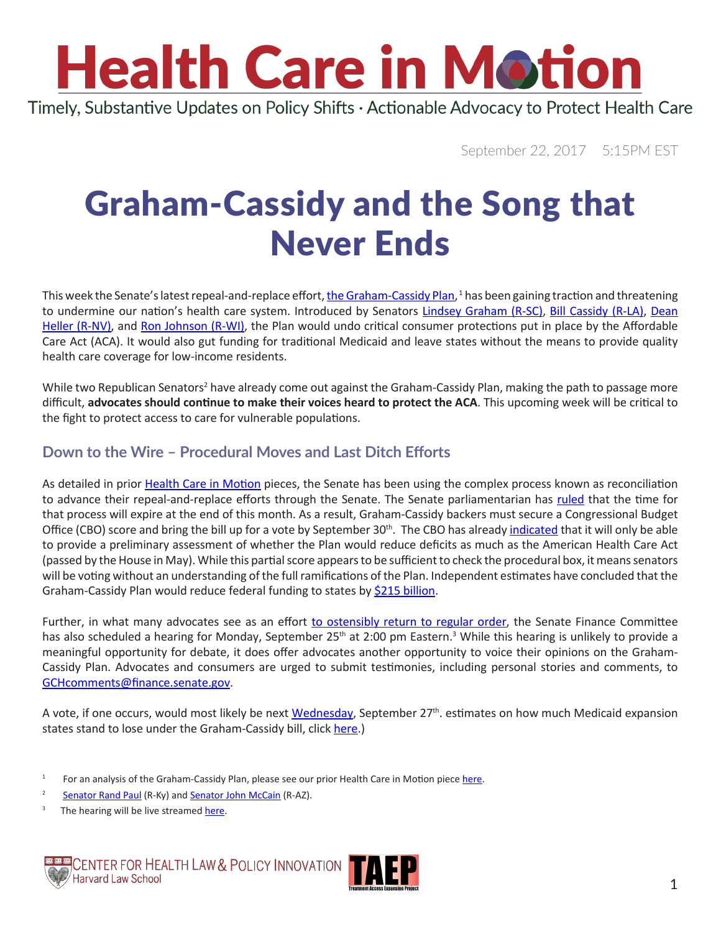# **Health Care in Motion**

Timely, Substantive Updates on Policy Shifts · Actionable Advocacy to Protect Health Care

September 22, 2017 5:15PM EST

### Graham-Cassidy and the Song that Never Ends

This week the Senate's latest repeal-and-replace effort, <u>[the Graham-Cassidy Plan](https://www.cassidy.senate.gov/imo/media/doc/LYN17709.pdf)</u>, <sup>1</sup> has been gaining traction and threatening to undermine our nation's health care system. Introduced by Senators [Lindsey Graham \(R-SC\)](https://www.lgraham.senate.gov/public/index.cfm/office-locations), [Bill Cassidy \(R-LA\)](https://www.cassidy.senate.gov/contact/office-locations), [Dean](https://www.heller.senate.gov/public/index.cfm/offices) [Heller \(R-NV\)](https://www.heller.senate.gov/public/index.cfm/offices), and [Ron Johnson \(R-WI\),](https://www.ronjohnson.senate.gov/public/index.cfm/home) the Plan would undo critical consumer protections put in place by the Affordable Care Act (ACA). It would also gut funding for traditional Medicaid and leave states without the means to provide quality health care coverage for low-income residents.

While two Republican Senators<sup>2</sup> have already come out against the Graham-Cassidy Plan, making the path to passage more difficult, **advocates should continue to make their voices heard to protect the ACA**. This upcoming week will be critical to the fight to protect access to care for vulnerable populations.

#### **Down to the Wire – Procedural Moves and Last Ditch Efforts**

As detailed in prior [Health Care in Motion](http://www.chlpi.org/wp-content/uploads/2013/12/Repeal-Reconciliation-and-Review-circulation2.pdf) pieces, the Senate has been using the complex process known as reconciliation to advance their repeal-and-replace efforts through the Senate. The Senate parliamentarian has [ruled](https://www.vox.com/policy-and-politics/2017/9/1/16243318/senate-budget-reconciliaton-obamacare-repeal-deadline) that the time for that process will expire at the end of this month. As a result, Graham-Cassidy backers must secure a Congressional Budget Office (CBO) score and bring the bill up for a vote by September 30<sup>th</sup>. The CBO has already *[indicated](https://www.cbo.gov/publication/53116)* that it will only be able to provide a preliminary assessment of whether the Plan would reduce deficits as much as the American Health Care Act (passed by the House in May). While this partial score appears to be sufficient to check the procedural box, it means senators will be voting without an understanding of the full ramifications of the Plan. Independent estimates have concluded that the Graham-Cassidy Plan would reduce federal funding to states by [\\$215 billion.](http://avalere.com/expertise/managed-care/insights/graham-cassidy-heller-johnson-bill-would-reduce-federal-funding-to-sta)

Further, in what many advocates see as an effort [to ostensibly return to regular order](https://www.cbpp.org/health/commentary-rushed-senate-consideration-of-cassidy-graham-would-be-designed-to-hide-bills), the Senate Finance Committee has also scheduled a hearing for Monday, September 25<sup>th</sup> at 2:00 pm Eastern.<sup>3</sup> While this hearing is unlikely to provide a meaningful opportunity for debate, it does offer advocates another opportunity to voice their opinions on the Graham-Cassidy Plan. Advocates and consumers are urged to submit testimonies, including personal stories and comments, to [GCHcomments@finance.senate.gov](mailto:GCHcomments@finance.senate.gov).

A vote, if one occurs, would most likely be next [Wednesday,](http://www.politico.com/story/2017/09/20/obamacare-repeal-senate-vote-graham-cassidy-242937) September 27<sup>th</sup>. estimates on how much Medicaid expansion states stand to lose under the Graham-Cassidy bill, click [here](https://www.cbpp.org/research/health/like-other-aca-repeal-bills-cassidy-graham-plan-would-add-millions-to-uninsured?utm_source=CBPP+Email+Updates&utm_campaign=95777ac55a-EMAIL_CAMPAIGN_2017_09_13&utm_medium=email&utm_term=0_ee3f6da374-95777ac55a-50668685).)

 $3$  The hearing will be live streamed [here](https://www.finance.senate.gov/hearings/hearing-to-consider-the-graham-cassidy-heller-johnson-proposal).





<sup>&</sup>lt;sup>1</sup> For an analysis of the Graham-Cassidy Plan, please see our prior Health Care in Motion piece [here](http://www.chlpi.org/wp-content/uploads/2013/12/HCIM_09_15_2017.pdf).

<sup>&</sup>lt;sup>2</sup> [Senator Rand Paul](https://www.paul.senate.gov/news/video/view/sen-rand-paul-discusses-his-objections-to-graham/cassidy-bill_-sept-21-2017) (R-Ky) and [Senator John McCain](https://www.mccain.senate.gov/public/index.cfm/press-releases?ID=1D7F89BB-FF93-41A5-85B8-C87E3CCCC4CE) (R-AZ).